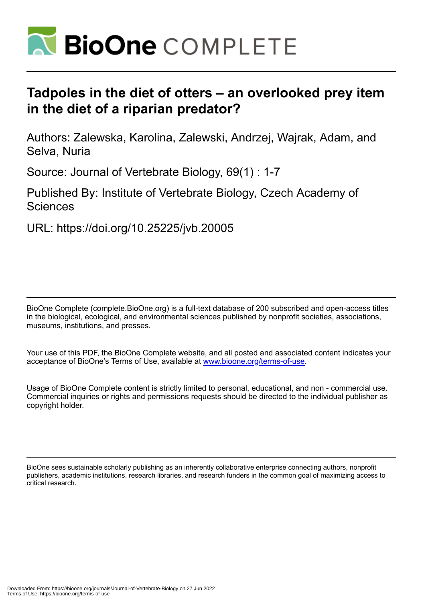

## **Tadpoles in the diet of otters – an overlooked prey item in the diet of a riparian predator?**

Authors: Zalewska, Karolina, Zalewski, Andrzej, Wajrak, Adam, and Selva, Nuria

Source: Journal of Vertebrate Biology, 69(1) : 1-7

Published By: Institute of Vertebrate Biology, Czech Academy of **Sciences** 

URL: https://doi.org/10.25225/jvb.20005

BioOne Complete (complete.BioOne.org) is a full-text database of 200 subscribed and open-access titles in the biological, ecological, and environmental sciences published by nonprofit societies, associations, museums, institutions, and presses.

Your use of this PDF, the BioOne Complete website, and all posted and associated content indicates your acceptance of BioOne's Terms of Use, available at www.bioone.org/terms-of-use.

Usage of BioOne Complete content is strictly limited to personal, educational, and non - commercial use. Commercial inquiries or rights and permissions requests should be directed to the individual publisher as copyright holder.

BioOne sees sustainable scholarly publishing as an inherently collaborative enterprise connecting authors, nonprofit publishers, academic institutions, research libraries, and research funders in the common goal of maximizing access to critical research.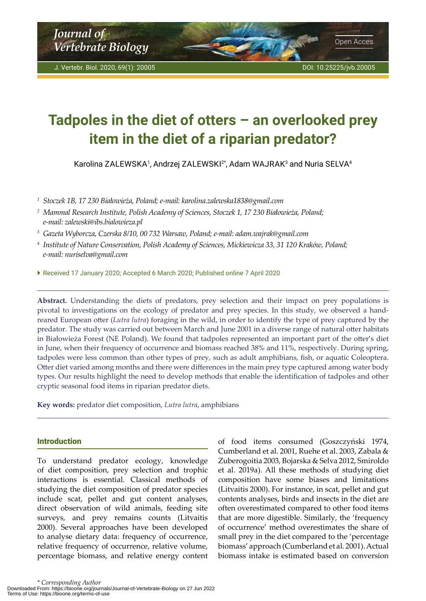# <span id="page-1-0"></span>**Tadpoles in the diet of otters – an overlooked prey item in the diet of a riparian predator?**

Karolina ZALEWSKA1, Andrzej ZALEWSKI2\*, Adam WAJRAK3 and Nuria SELVA4

*1 Stoczek 1B, 17 230 Białowieża, Poland; e-mail: karolina.zalewska1838@gmail.com*

- *<sup>2</sup>Mammal Research Institute, Polish Academy of Sciences, Stoczek 1, 17 230 Białowieża, Poland; e-mail: zalewski@ibs.bialowieza.pl*
- *3 Gazeta Wyborcza, Czerska 8/10, 00 732 Warsaw, Poland; e-mail*: *adam.wajrak@gmail.com*
- *4 Institute of Nature Conservation, Polish Academy of Sciences, Mickiewicza 33, 31 120 Kraków, Poland; e-mail: nuriselva@gmail.com*
- Received 17 January 2020; Accepted 6 March 2020; Published online 7 April 2020

**Abstract.** Understanding the diets of predators, prey selection and their impact on prey populations is pivotal to investigations on the ecology of predator and prey species. In this study, we observed a handreared European otter (*Lutra lutra*) foraging in the wild, in order to identify the type of prey captured by the predator. The study was carried out between March and June 2001 in a diverse range of natural otter habitats in Białowieża Forest (NE Poland). We found that tadpoles represented an important part of the otter's diet in June, when their frequency of occurrence and biomass reached 38% and 11%, respectively. During spring, tadpoles were less common than other types of prey, such as adult amphibians, fish, or aquatic Coleoptera. Otter diet varied among months and there were differences in the main prey type captured among water body types. Our results highlight the need to develop methods that enable the identification of tadpoles and other cryptic seasonal food items in riparian predator diets.

**Key words:** predator diet composition, *Lutra lutra*, amphibians

### Introduction

To understand predator ecology, knowledge of diet composition, prey selection and trophic interactions is essential. Classical methods of studying the diet composition of predator species include scat, pellet and gut content analyses, direct observation of wild animals, feeding site surveys, and prey remains counts (Litvaitis 2000). Several approaches have been developed to analyse dietary data: frequency of occurrence, relative frequency of occurrence, relative volume, percentage biomass, and relative energy content

of food items consumed (Goszczyński 1974, Cumberland et al. 2001, Ruehe et al. 2003, Zabala & Zuberogoitia 2003, Bojarska & Selva 2012, Smiroldo et al. 2019a). All these methods of studying diet composition have some biases and limitations (Litvaitis 2000). For instance, in scat, pellet and gut contents analyses, birds and insects in the diet are often overestimated compared to other food items that are more digestible. Similarly, the 'frequency of occurrence' method overestimates the share of small prey in the diet compared to the 'percentage biomass' approach (Cumberland et al. 2001). Actual biomass intake is estimated based on conversion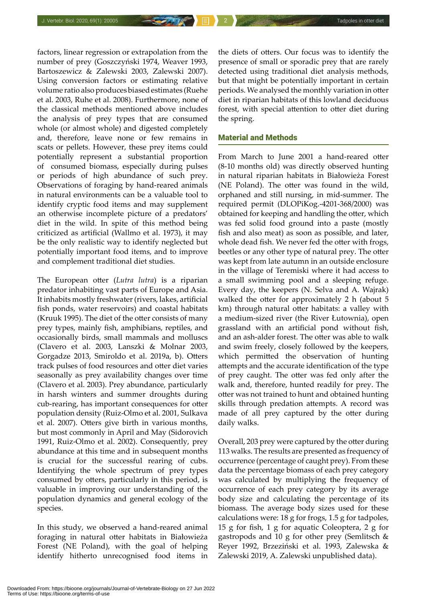factors, linear regression or extrapolation from the number of prey (Goszczyński 1974, Weaver 1993, Bartoszewicz & Zalewski 2003, Zalewski 2007). Using conversion factors or estimating relative volume ratio also produces biased estimates (Ruehe et al. 2003, Ruhe et al. 2008). Furthermore, none of the classical methods mentioned above includes the analysis of prey types that are consumed whole (or almost whole) and digested completely and, therefore, leave none or few remains in scats or pellets. However, these prey items could potentially represent a substantial proportion of consumed biomass, especially during pulses or periods of high abundance of such prey. Observations of foraging by hand-reared animals in natural environments can be a valuable tool to identify cryptic food items and may supplement an otherwise incomplete picture of a predators' diet in the wild. In spite of this method being criticized as artificial (Wallmo et al. 1973), it may be the only realistic way to identify neglected but potentially important food items, and to improve and complement traditional diet studies.

The European otter (*Lutra lutra*) is a riparian predator inhabiting vast parts of Europe and Asia. It inhabits mostly freshwater (rivers, lakes, artificial fish ponds, water reservoirs) and coastal habitats (Kruuk 1995). The diet of the otter consists of many prey types, mainly fish, amphibians, reptiles, and occasionally birds, small mammals and molluscs (Clavero et al. 2003, Lanszki & Molnar 2003, Gorgadze 2013, Smiroldo et al. 2019a, b). Otters track pulses of food resources and otter diet varies seasonally as prey availability changes over time (Clavero et al. 2003). Prey abundance, particularly in harsh winters and summer droughts during cub-rearing, has important consequences for otter population density (Ruiz-Olmo et al. 2001, Sulkava et al. 2007). Otters give birth in various months, but most commonly in April and May (Sidorovich 1991, Ruiz-Olmo et al. 2002). Consequently, prey abundance at this time and in subsequent months is crucial for the successful rearing of cubs. Identifying the whole spectrum of prey types consumed by otters, particularly in this period, is valuable in improving our understanding of the population dynamics and general ecology of the species.

In this study, we observed a hand-reared animal foraging in natural otter habitats in Białowieża Forest (NE Poland), with the goal of helping identify hitherto unrecognised food items in

the diets of otters. Our focus was to identify the presence of small or sporadic prey that are rarely detected using traditional diet analysis methods, but that might be potentially important in certain periods. We analysed the monthly variation in otter diet in riparian habitats of this lowland deciduous forest, with special attention to otter diet during the spring.

#### Material and Methods

From March to June 2001 a hand-reared otter (8-10 months old) was directly observed hunting in natural riparian habitats in Białowieża Forest (NE Poland). The otter was found in the wild, orphaned and still nursing, in mid-summer. The required permit (DLOPiKog.-4201-368/2000) was obtained for keeping and handling the otter, which was fed solid food ground into a paste (mostly fish and also meat) as soon as possible, and later, whole dead fish. We never fed the otter with frogs, beetles or any other type of natural prey. The otter was kept from late autumn in an outside enclosure in the village of Teremiski where it had access to a small swimming pool and a sleeping refuge. Every day, the keepers (N. Selva and A. Wajrak) walked the otter for approximately 2 h (about 5 km) through natural otter habitats: a valley with a medium-sized river (the River Łutownia), open grassland with an artificial pond without fish, and an ash-alder forest. The otter was able to walk and swim freely, closely followed by the keepers, which permitted the observation of hunting attempts and the accurate identification of the type of prey caught. The otter was fed only after the walk and, therefore, hunted readily for prey. The otter was not trained to hunt and obtained hunting skills through predation attempts. A record was made of all prey captured by the otter during daily walks.

Overall, 203 prey were captured by the otter during 113 walks. The results are presented as frequency of occurrence (percentage of caught prey). From these data the percentage biomass of each prey category was calculated by multiplying the frequency of occurrence of each prey category by its average body size and calculating the percentage of its biomass. The average body sizes used for these calculations were: 18 g for frogs, 1.5 g for tadpoles, 15 g for fish, 1 g for aquatic Coleoptera, 2 g for gastropods and 10 g for other prey (Semlitsch & Reyer 1992, Brzeziński et al. 1993, Zalewska & Zalewski 2019, A. Zalewski unpublished data).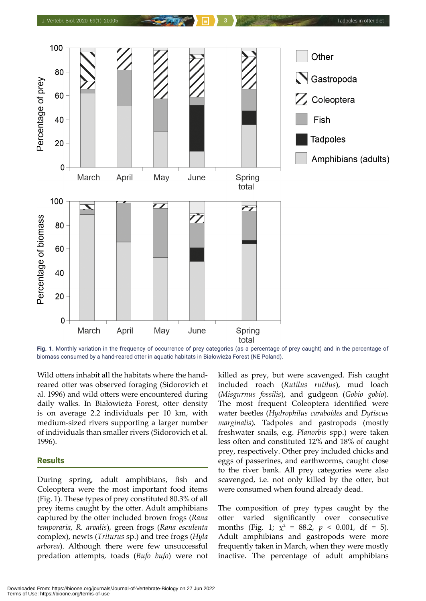

**Fig. 1.** Monthly variation in the frequency of occurrence of prey categories (as a percentage of prey caught) and in the percentage of biomass consumed by a hand-reared otter in aquatic habitats in Białowieża Forest (NE Poland).

Wild otters inhabit all the habitats where the handreared otter was observed foraging (Sidorovich et al. 1996) and wild otters were encountered during daily walks. In Białowieża Forest, otter density is on average 2.2 individuals per 10 km, with medium-sized rivers supporting a larger number of individuals than smaller rivers (Sidorovich et al. 1996).

#### **Results**

During spring, adult amphibians, fish and Coleoptera were the most important food items (Fig. 1). These types of prey constituted 80.3% of all prey items caught by the otter. Adult amphibians captured by the otter included brown frogs (*Rana temporaria, R. arvalis*), green frogs (*Rana esculenta* complex), newts (*Triturus* sp.) and tree frogs (*Hyla arborea*). Although there were few unsuccessful predation attempts, toads (*Bufo bufo*) were not killed as prey, but were scavenged. Fish caught included roach (*Rutilus rutilus*), mud loach (*Misgurnus fossilis*), and gudgeon (*Gobio gobio*). The most frequent Coleoptera identified were water beetles (*Hydrophilus caraboides* and *Dytiscus marginalis*)*.* Tadpoles and gastropods (mostly freshwater snails, e.g. *Planorbis* spp.) were taken less often and constituted 12% and 18% of caught prey, respectively. Other prey included chicks and eggs of passerines, and earthworms, caught close to the river bank. All prey categories were also scavenged, i.e. not only killed by the otter, but were consumed when found already dead.

The composition of prey types caught by the otter varied significantly over consecutive months (Fig. 1;  $\chi^2 = 88.2$ ,  $p < 0.001$ , df = 5). Adult amphibians and gastropods were more frequently taken in March, when they were mostly inactive. The percentage of adult amphibians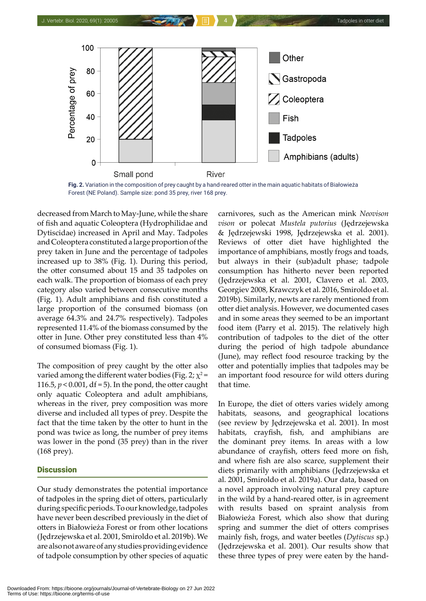

**Fig. 2.** Variation in the composition of prey caught by a hand-reared otter in the main aquatic habitats of Białowieża Forest (NE Poland). Sample size: pond 35 prey, river 168 prey.

decreased from March to May-June, while the share of fish and aquatic Coleoptera (Hydrophilidae and Dytiscidae) increased in April and May. Tadpoles and Coleoptera constituted a large proportion of the prey taken in June and the percentage of tadpoles increased up to 38% (Fig. 1). During this period, the otter consumed about 15 and 35 tadpoles on each walk. The proportion of biomass of each prey category also varied between consecutive months (Fig. 1). Adult amphibians and fish constituted a large proportion of the consumed biomass (on average 64.3% and 24.7% respectively). Tadpoles represented 11.4% of the biomass consumed by the otter in June. Other prey constituted less than 4% of consumed biomass (Fig. 1).

The composition of prey caught by the otter also varied among the different water bodies (Fig. 2;  $\chi^2$  = 116.5,  $p < 0.001$ , df = 5). In the pond, the otter caught only aquatic Coleoptera and adult amphibians, whereas in the river, prey composition was more diverse and included all types of prey. Despite the fact that the time taken by the otter to hunt in the pond was twice as long, the number of prey items was lower in the pond (35 prey) than in the river (168 prey).

#### **Discussion**

Our study demonstrates the potential importance of tadpoles in the spring diet of otters, particularly during specific periods. To our knowledge, tadpoles have never been described previously in the diet of otters in Białowieża Forest or from other locations (Jędrzejewska et al. 2001, Smiroldo et al. 2019b). We are also not aware of any studies providing evidence of tadpole consumption by other species of aquatic

carnivores, such as the American mink *Neovison vison* or polecat *Mustela putorius* (Jędrzejewska & Jędrzejewski 1998, Jędrzejewska et al. 2001). Reviews of otter diet have highlighted the importance of amphibians, mostly frogs and toads, but always in their (sub)adult phase; tadpole consumption has hitherto never been reported (Jędrzejewska et al. 2001, Clavero et al. 2003, Georgiev 2008, Krawczyk et al. 2016, Smiroldo et al. 2019b). Similarly, newts are rarely mentioned from otter diet analysis. However, we documented cases and in some areas they seemed to be an important food item (Parry et al. 2015). The relatively high contribution of tadpoles to the diet of the otter during the period of high tadpole abundance (June), may reflect food resource tracking by the otter and potentially implies that tadpoles may be an important food resource for wild otters during that time.

In Europe, the diet of otters varies widely among habitats, seasons, and geographical locations (see review by Jędrzejewska et al. 2001). In most habitats, crayfish, fish, and amphibians are the dominant prey items. In areas with a low abundance of crayfish, otters feed more on fish, and where fish are also scarce, supplement their diets primarily with amphibians (Jędrzejewska et al. 2001, Smiroldo et al. 2019a). Our data, based on a novel approach involving natural prey capture in the wild by a hand-reared otter, is in agreement with results based on spraint analysis from Białowieża Forest, which also show that during spring and summer the diet of otters comprises mainly fish, frogs, and water beetles (*Dytiscus* sp.) (Jędrzejewska et al. 2001). Our results show that these three types of prey were eaten by the hand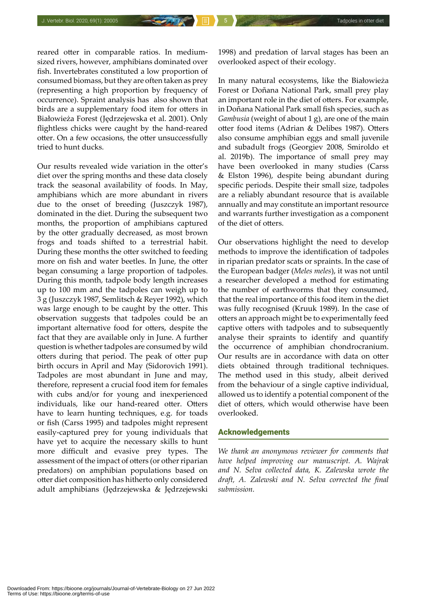reared otter in comparable ratios. In mediumsized rivers, however, amphibians dominated over fish. Invertebrates constituted a low proportion of consumed biomass, but they are often taken as prey (representing a high proportion by frequency of occurrence). Spraint analysis has also shown that birds are a supplementary food item for otters in Białowieża Forest (Jędrzejewska et al. 2001). Only flightless chicks were caught by the hand-reared otter. On a few occasions, the otter unsuccessfully tried to hunt ducks.

Our results revealed wide variation in the otter's diet over the spring months and these data closely track the seasonal availability of foods. In May, amphibians which are more abundant in rivers due to the onset of breeding (Juszczyk 1987), dominated in the diet. During the subsequent two months, the proportion of amphibians captured by the otter gradually decreased, as most brown frogs and toads shifted to a terrestrial habit. During these months the otter switched to feeding more on fish and water beetles. In June, the otter began consuming a large proportion of tadpoles. During this month, tadpole body length increases up to 100 mm and the tadpoles can weigh up to 3 g (Juszczyk 1987, Semlitsch & Reyer 1992), which was large enough to be caught by the otter. This observation suggests that tadpoles could be an important alternative food for otters, despite the fact that they are available only in June. A further question is whether tadpoles are consumed by wild otters during that period. The peak of otter pup birth occurs in April and May (Sidorovich 1991). Tadpoles are most abundant in June and may, therefore, represent a crucial food item for females with cubs and/or for young and inexperienced individuals, like our hand-reared otter. Otters have to learn hunting techniques, e.g. for toads or fish (Carss 1995) and tadpoles might represent easily-captured prey for young individuals that have yet to acquire the necessary skills to hunt more difficult and evasive prey types. The assessment of the impact of otters (or other riparian predators) on amphibian populations based on otter diet composition has hitherto only considered adult amphibians (Jędrzejewska & Jędrzejewski

1998) and predation of larval stages has been an overlooked aspect of their ecology.

In many natural ecosystems, like the Białowieża Forest or Doñana National Park, small prey play an important role in the diet of otters. For example, in Doñana National Park small fish species, such as *Gambusia* (weight of about 1 g), are one of the main otter food items (Adrian & Delibes 1987). Otters also consume amphibian eggs and small juvenile and subadult frogs (Georgiev 2008, Smiroldo et al. 2019b). The importance of small prey may have been overlooked in many studies (Carss & Elston 1996), despite being abundant during specific periods. Despite their small size, tadpoles are a reliably abundant resource that is available annually and may constitute an important resource and warrants further investigation as a component of the diet of otters.

Our observations highlight the need to develop methods to improve the identification of tadpoles in riparian predator scats or spraints. In the case of the European badger (*Meles meles*), it was not until a researcher developed a method for estimating the number of earthworms that they consumed, that the real importance of this food item in the diet was fully recognised (Kruuk 1989). In the case of otters an approach might be to experimentally feed captive otters with tadpoles and to subsequently analyse their spraints to identify and quantify the occurrence of amphibian chondrocranium. Our results are in accordance with data on otter diets obtained through traditional techniques. The method used in this study, albeit derived from the behaviour of a single captive individual, allowed us to identify a potential component of the diet of otters, which would otherwise have been overlooked.

#### Acknowledgements

*We thank an anonymous reviewer for comments that have helped improving our manuscript. A. Wajrak and N. Selva collected data, K. Zalewska wrote the draft, A. Zalewski and N. Selva corrected the final submission.*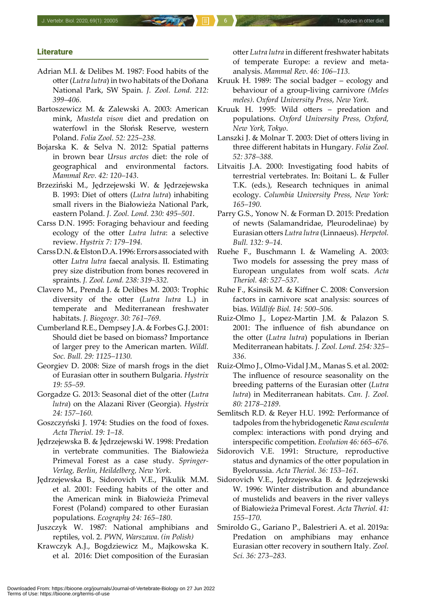#### **Literature**

- Adrian M.I. & Delibes M. 1987: Food habits of the otter (*Lutra lutra*) in two habitats of the Doñana National Park, SW Spain. *J. Zool. Lond. 212: 399–406.*
- Bartoszewicz M. & Zalewski A. 2003: American mink, *Mustela vison* diet and predation on waterfowl in the Słońsk Reserve, western Poland. *Folia Zool. 52: 225–238.*
- Bojarska K. & Selva N. 2012: Spatial patterns in brown bear *Ursus arctos* diet: the role of geographical and environmental factors. *Mammal Rev. 42: 120–143.*
- Brzeziński M., Jędrzejewski W. & Jędrzejewska B. 1993: Diet of otters (*Lutra lutra*) inhabiting small rivers in the Białowieża National Park, eastern Poland. *J. Zool. Lond. 230: 495–501.*
- Carss D.N. 1995: Foraging behaviour and feeding ecology of the otter *Lutra lutra*: a selective review. *Hystrix 7: 179–194.*
- Carss D.N. & Elston D.A. 1996: Errors associated with otter *Lutra lutra* faecal analysis. II. Estimating prey size distribution from bones recovered in spraints. *J. Zool. Lond. 238: 319–332.*
- Clavero M., Prenda J. & Delibes M. 2003: Trophic diversity of the otter (*Lutra lutra* L.) in temperate and Mediterranean freshwater habitats. *J. Biogeogr. 30: 761–769.*
- Cumberland R.E., Dempsey J.A. & Forbes G.J. 2001: Should diet be based on biomass? Importance of larger prey to the American marten. *Wildl. Soc. Bull. 29: 1125–1130.*
- Georgiev D. 2008: Size of marsh frogs in the diet of Eurasian otter in southern Bulgaria. *Hystrix 19: 55–59.*
- Gorgadze G. 2013: Seasonal diet of the otter (*Lutra lutra*) on the Alazani River (Georgia). *Hystrix 24: 157–160.*
- Goszczyński J. 1974: Studies on the food of foxes. *Acta Theriol. 19: 1–18.*
- Jędrzejewska B. & Jędrzejewski W. 1998: Predation in vertebrate communities. The Białowieża Primeval Forest as a case study. *Springer-Verlag, Berlin, Heildelberg, New York*.
- Jędrzejewska B., Sidorovich V.E., Pikulik M.M. et al. 2001: Feeding habits of the otter and the American mink in Białowieża Primeval Forest (Poland) compared to other Eurasian populations. *Ecography 24: 165–180.*
- Juszczyk W. 1987: National amphibians and reptiles, vol. 2. *PWN, Warszawa*. *(in Polish)*
- Krawczyk A.J., Bogdziewicz M., Majkowska K. et al. 2016: Diet composition of the Eurasian

otter *Lutra lutra* in different freshwater habitats of temperate Europe: a review and metaanalysis. *Mammal Rev*. *46: 106–113.*

- Kruuk H. 1989: The social badger ecology and behaviour of a group-living carnivore *(Meles meles)*. *Oxford University Press, New York*.
- Kruuk H. 1995: Wild otters predation and populations. *Oxford University Press, Oxford, New York, Tokyo*.
- Lanszki J. & Molnar T. 2003: Diet of otters living in three different habitats in Hungary. *Folia Zool. 52: 378–388.*
- Litvaitis J.A. 2000: Investigating food habits of terrestrial vertebrates. In: Boitani L. & Fuller T.K. (eds.), Research techniques in animal ecology. *Columbia University Press, New York: 165–190.*
- Parry G.S., Yonow N. & Forman D. 2015: Predation of newts (Salamandridae, Pleurodelinae) by Eurasian otters *Lutra lutra* (Linnaeus). *Herpetol. Bull. 132: 9–14.*
- Ruehe F., Buschmann I. & Wameling A. 2003: Two models for assessing the prey mass of European ungulates from wolf scats. *Acta Theriol. 48: 527–537.*
- Ruhe F., Ksinsik M. & Kiffner C. 2008: Conversion factors in carnivore scat analysis: sources of bias. *Wildlife Biol. 14: 500–506.*
- Ruiz-Olmo J., Lopez-Martin J.M. & Palazon S. 2001: The influence of fish abundance on the otter (*Lutra lutra*) populations in Iberian Mediterranean habitats. *J. Zool. Lond. 254: 325– 336.*
- Ruiz-Olmo J., Olmo-Vidal J.M., Manas S. et al. 2002: The influence of resource seasonality on the breeding patterns of the Eurasian otter (*Lutra lutra*) in Mediterranean habitats. *Can. J. Zool. 80: 2178–2189.*
- Semlitsch R.D. & Reyer H.U. 1992: Performance of tadpoles from the hybridogenetic *Rana esculenta* complex: interactions with pond drying and interspecific competition. *Evolution 46: 665–676.*
- Sidorovich V.E. 1991: Structure, reproductive status and dynamics of the otter population in Byelorussia. *Acta Theriol. 36: 153–161.*
- Sidorovich V.E., Jędrzejewska B. & Jędrzejewski W. 1996: Winter distribution and abundance of mustelids and beavers in the river valleys of Białowieża Primeval Forest. *Acta Theriol. 41: 155–170.*
- Smiroldo G., Gariano P., Balestrieri A. et al. 2019a: Predation on amphibians may enhance Eurasian otter recovery in southern Italy. *Zool. Sci. 36: 273–283.*